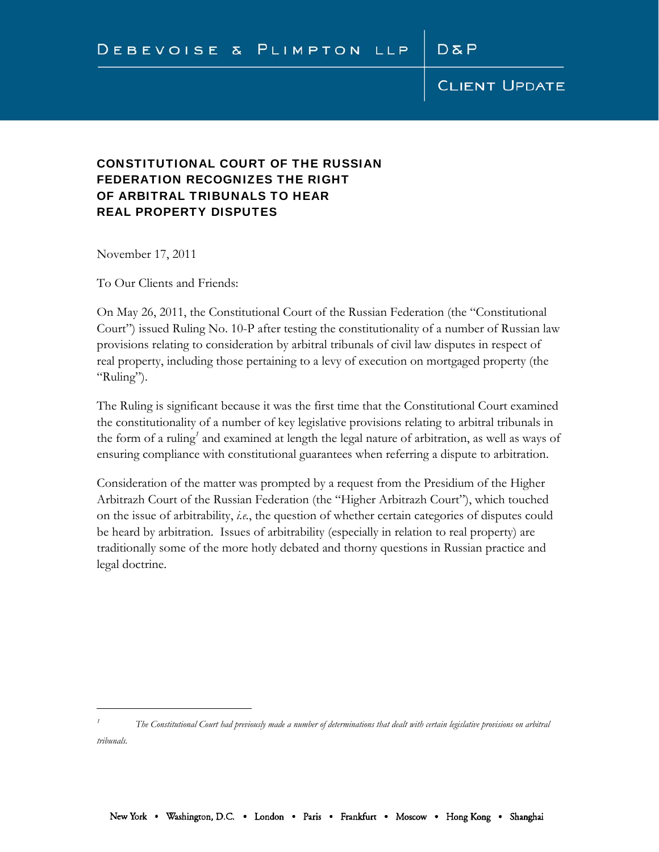$D\bar{a}P$ 

### CONSTITUTIONAL COURT OF THE RUSSIAN FEDERATION RECOGNIZES THE RIGHT OF ARBITRAL TRIBUNALS TO HEAR REAL PROPERTY DISPUTES

November 17, 2011

 $\overline{a}$ 

To Our Clients and Friends:

On May 26, 2011, the Constitutional Court of the Russian Federation (the "Constitutional Court") issued Ruling No. 10-P after testing the constitutionality of a number of Russian law provisions relating to consideration by arbitral tribunals of civil law disputes in respect of real property, including those pertaining to a levy of execution on mortgaged property (the "Ruling").

The Ruling is significant because it was the first time that the Constitutional Court examined the constitutionality of a number of key legislative provisions relating to arbitral tribunals in the form of a ruling<sup>1</sup> and examined at length the legal nature of arbitration, as well as ways of ensuring compliance with constitutional guarantees when referring a dispute to arbitration.

Consideration of the matter was prompted by a request from the Presidium of the Higher Arbitrazh Court of the Russian Federation (the "Higher Arbitrazh Court"), which touched on the issue of arbitrability, *i.e.*, the question of whether certain categories of disputes could be heard by arbitration. Issues of arbitrability (especially in relation to real property) are traditionally some of the more hotly debated and thorny questions in Russian practice and legal doctrine.

*<sup>1</sup> The Constitutional Court had previously made a number of determinations that dealt with certain legislative provisions on arbitral tribunals.*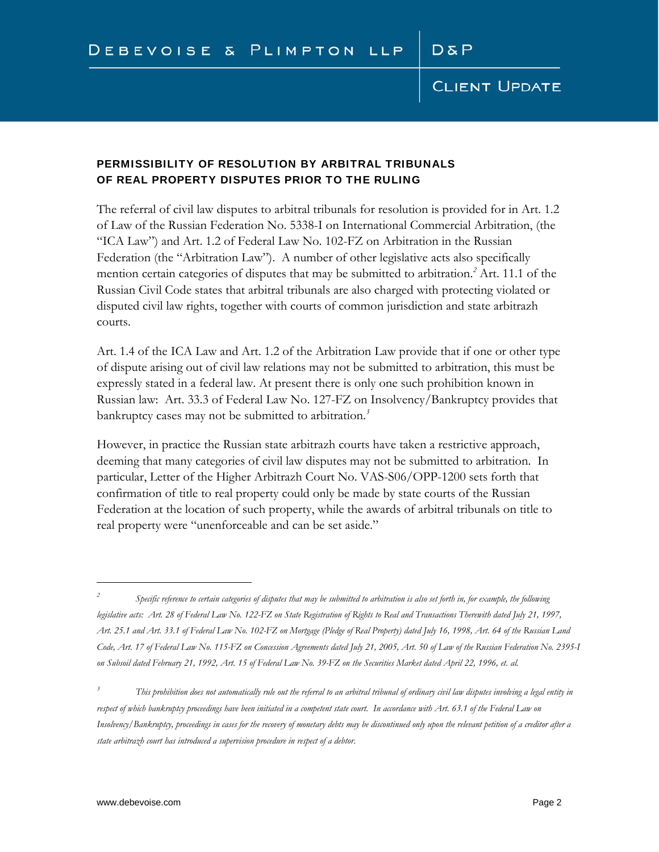### PERMISSIBILITY OF RESOLUTION BY ARBITRAL TRIBUNALS OF REAL PROPERTY DISPUTES PRIOR TO THE RULING

The referral of civil law disputes to arbitral tribunals for resolution is provided for in Art. 1.2 of Law of the Russian Federation No. 5338-I on International Commercial Arbitration, (the "ICA Law") and Art. 1.2 of Federal Law No. 102-FZ on Arbitration in the Russian Federation (the "Arbitration Law"). A number of other legislative acts also specifically mention certain categories of disputes that may be submitted to arbitration.*<sup>2</sup>* Art. 11.1 of the Russian Civil Code states that arbitral tribunals are also charged with protecting violated or disputed civil law rights, together with courts of common jurisdiction and state arbitrazh courts.

Art. 1.4 of the ICA Law and Art. 1.2 of the Arbitration Law provide that if one or other type of dispute arising out of civil law relations may not be submitted to arbitration, this must be expressly stated in a federal law. At present there is only one such prohibition known in Russian law: Art. 33.3 of Federal Law No. 127-FZ on Insolvency/Bankruptcy provides that bankruptcy cases may not be submitted to arbitration.*<sup>3</sup>*

However, in practice the Russian state arbitrazh courts have taken a restrictive approach, deeming that many categories of civil law disputes may not be submitted to arbitration. In particular, Letter of the Higher Arbitrazh Court No. VAS-S06/OPP-1200 sets forth that confirmation of title to real property could only be made by state courts of the Russian Federation at the location of such property, while the awards of arbitral tribunals on title to real property were "unenforceable and can be set aside."

<u>.</u>

*<sup>2</sup> Specific reference to certain categories of disputes that may be submitted to arbitration is also set forth in, for example, the following legislative acts: Art. 28 of Federal Law No. 122-FZ on State Registration of Rights to Real and Transactions Therewith dated July 21, 1997, Art. 25.1 and Art. 33.1 of Federal Law No. 102-FZ on Mortgage (Pledge of Real Property) dated July 16, 1998, Art. 64 of the Russian Land Code, Art. 17 of Federal Law No. 115-FZ on Concession Agreements dated July 21, 2005, Art. 50 of Law of the Russian Federation No. 2395-I on Subsoil dated February 21, 1992, Art. 15 of Federal Law No. 39-FZ on the Securities Market dated April 22, 1996, et. al.* 

*<sup>3</sup> This prohibition does not automatically rule out the referral to an arbitral tribunal of ordinary civil law disputes involving a legal entity in*  respect of which bankruptcy proceedings have been initiated in a competent state court. In accordance with Art. 63.1 of the Federal Law on *Insolvency/Bankruptcy, proceedings in cases for the recovery of monetary debts may be discontinued only upon the relevant petition of a creditor after a state arbitrazh court has introduced a supervision procedure in respect of a debtor.*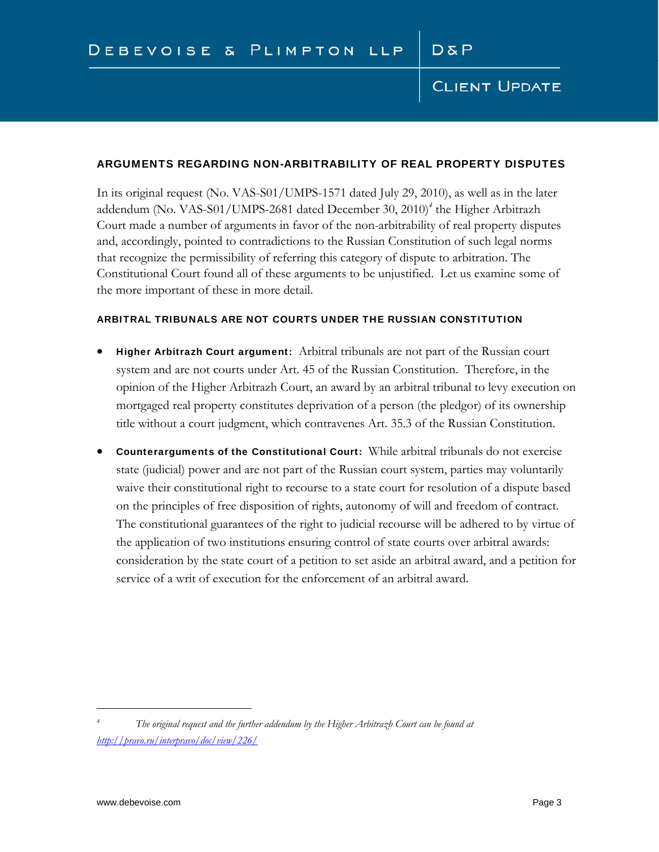### ARGUMENTS REGARDING NON-ARBITRABILITY OF REAL PROPERTY DISPUTES

In its original request (No. VAS-S01/UMPS-1571 dated July 29, 2010), as well as in the later addendum (No. VAS-S01/UMPS-2681 dated December 30, 2010)*<sup>4</sup>* the Higher Arbitrazh Court made a number of arguments in favor of the non-arbitrability of real property disputes and, accordingly, pointed to contradictions to the Russian Constitution of such legal norms that recognize the permissibility of referring this category of dispute to arbitration. The Constitutional Court found all of these arguments to be unjustified. Let us examine some of the more important of these in more detail.

### ARBITRAL TRIBUNALS ARE NOT COURTS UNDER THE RUSSIAN CONSTITUTION

- Higher Arbitrazh Court argument: Arbitral tribunals are not part of the Russian court system and are not courts under Art. 45 of the Russian Constitution. Therefore, in the opinion of the Higher Arbitrazh Court, an award by an arbitral tribunal to levy execution on mortgaged real property constitutes deprivation of a person (the pledgor) of its ownership title without a court judgment, which contravenes Art. 35.3 of the Russian Constitution.
- Counterarguments of the Constitutional Court: While arbitral tribunals do not exercise state (judicial) power and are not part of the Russian court system, parties may voluntarily waive their constitutional right to recourse to a state court for resolution of a dispute based on the principles of free disposition of rights, autonomy of will and freedom of contract. The constitutional guarantees of the right to judicial recourse will be adhered to by virtue of the application of two institutions ensuring control of state courts over arbitral awards: consideration by the state court of a petition to set aside an arbitral award, and a petition for service of a writ of execution for the enforcement of an arbitral award.

 $\overline{a}$ 

*<sup>4</sup> The original request and the further addendum by the Higher Arbitrazh Court can be found at http://pravo.ru/interpravo/doc/view/226/*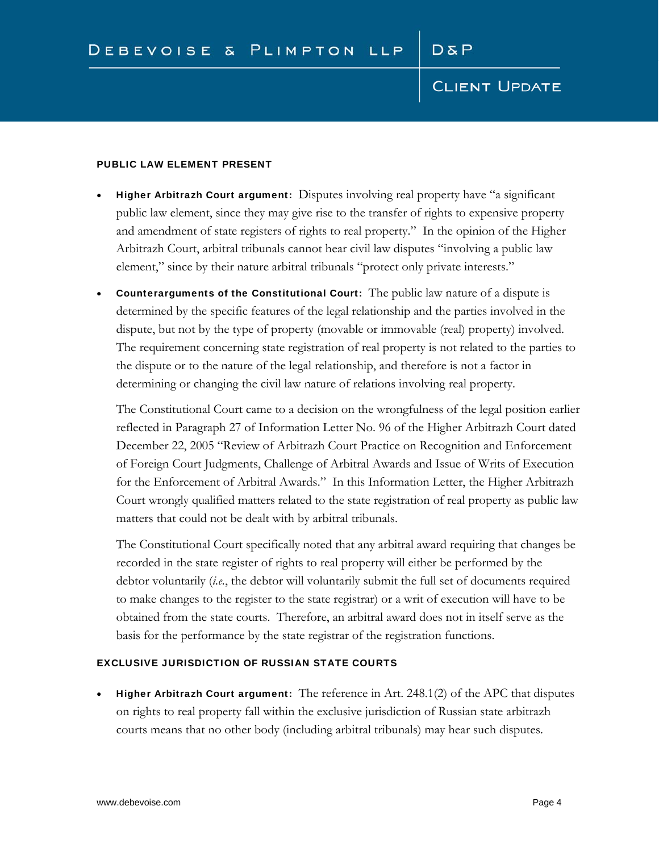#### PUBLIC LAW ELEMENT PRESENT

- Higher Arbitrazh Court argument: Disputes involving real property have "a significant public law element, since they may give rise to the transfer of rights to expensive property and amendment of state registers of rights to real property." In the opinion of the Higher Arbitrazh Court, arbitral tribunals cannot hear civil law disputes "involving a public law element," since by their nature arbitral tribunals "protect only private interests."
- Counterarguments of the Constitutional Court: The public law nature of a dispute is determined by the specific features of the legal relationship and the parties involved in the dispute, but not by the type of property (movable or immovable (real) property) involved. The requirement concerning state registration of real property is not related to the parties to the dispute or to the nature of the legal relationship, and therefore is not a factor in determining or changing the civil law nature of relations involving real property.

The Constitutional Court came to a decision on the wrongfulness of the legal position earlier reflected in Paragraph 27 of Information Letter No. 96 of the Higher Arbitrazh Court dated December 22, 2005 "Review of Arbitrazh Court Practice on Recognition and Enforcement of Foreign Court Judgments, Challenge of Arbitral Awards and Issue of Writs of Execution for the Enforcement of Arbitral Awards." In this Information Letter, the Higher Arbitrazh Court wrongly qualified matters related to the state registration of real property as public law matters that could not be dealt with by arbitral tribunals.

The Constitutional Court specifically noted that any arbitral award requiring that changes be recorded in the state register of rights to real property will either be performed by the debtor voluntarily (*i.e.*, the debtor will voluntarily submit the full set of documents required to make changes to the register to the state registrar) or a writ of execution will have to be obtained from the state courts. Therefore, an arbitral award does not in itself serve as the basis for the performance by the state registrar of the registration functions.

### EXCLUSIVE JURISDICTION OF RUSSIAN STATE COURTS

**Higher Arbitrazh Court argument:** The reference in Art. 248.1(2) of the APC that disputes on rights to real property fall within the exclusive jurisdiction of Russian state arbitrazh courts means that no other body (including arbitral tribunals) may hear such disputes.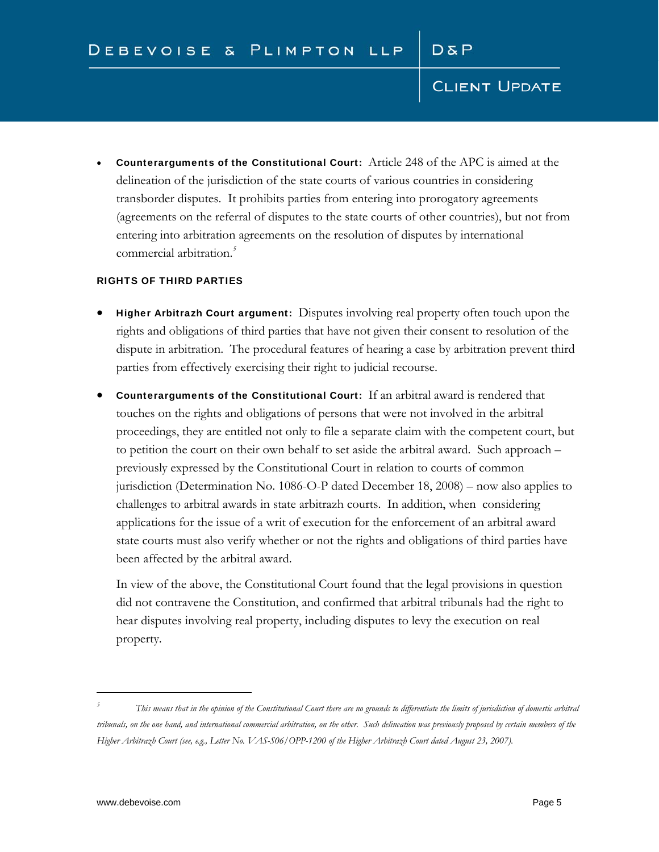Counterarguments of the Constitutional Court: Article 248 of the APC is aimed at the delineation of the jurisdiction of the state courts of various countries in considering transborder disputes. It prohibits parties from entering into prorogatory agreements (agreements on the referral of disputes to the state courts of other countries), but not from entering into arbitration agreements on the resolution of disputes by international commercial arbitration.*<sup>5</sup>*

### RIGHTS OF THIRD PARTIES

- Higher Arbitrazh Court argument: Disputes involving real property often touch upon the rights and obligations of third parties that have not given their consent to resolution of the dispute in arbitration. The procedural features of hearing a case by arbitration prevent third parties from effectively exercising their right to judicial recourse.
- Counterarguments of the Constitutional Court: If an arbitral award is rendered that touches on the rights and obligations of persons that were not involved in the arbitral proceedings, they are entitled not only to file a separate claim with the competent court, but to petition the court on their own behalf to set aside the arbitral award. Such approach – previously expressed by the Constitutional Court in relation to courts of common jurisdiction (Determination No. 1086-O-P dated December 18, 2008) – now also applies to challenges to arbitral awards in state arbitrazh courts. In addition, when considering applications for the issue of a writ of execution for the enforcement of an arbitral award state courts must also verify whether or not the rights and obligations of third parties have been affected by the arbitral award.

In view of the above, the Constitutional Court found that the legal provisions in question did not contravene the Constitution, and confirmed that arbitral tribunals had the right to hear disputes involving real property, including disputes to levy the execution on real property.

 $\overline{a}$ 

*<sup>5</sup> This means that in the opinion of the Constitutional Court there are no grounds to differentiate the limits of jurisdiction of domestic arbitral tribunals, on the one hand, and international commercial arbitration, on the other. Such delineation was previously proposed by certain members of the Higher Arbitrazh Court (see, e.g., Letter No. VAS-S06/OPP-1200 of the Higher Arbitrazh Court dated August 23, 2007).*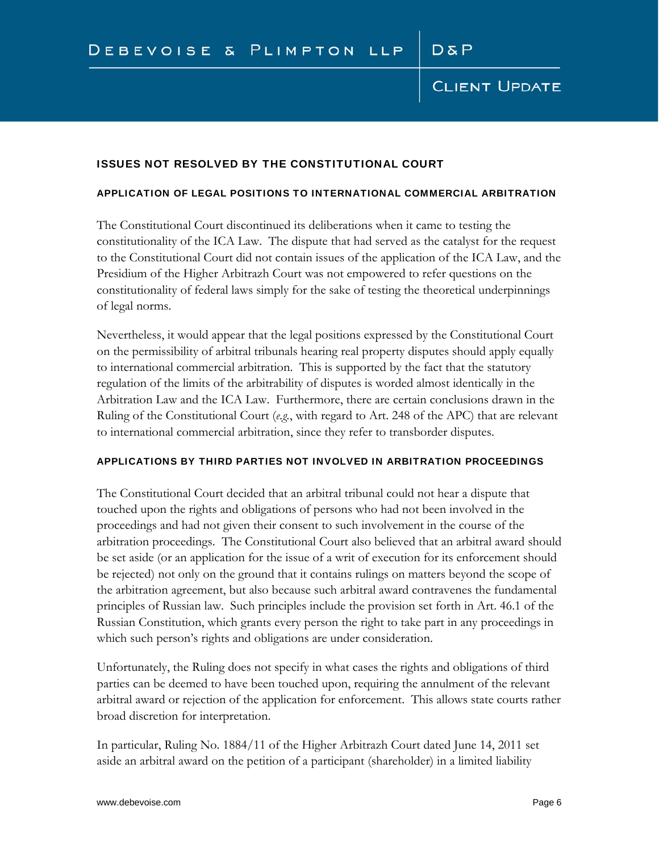### ISSUES NOT RESOLVED BY THE CONSTITUTIONAL COURT

#### APPLICATION OF LEGAL POSITIONS TO INTERNATIONAL COMMERCIAL ARBITRATION

The Constitutional Court discontinued its deliberations when it came to testing the constitutionality of the ICA Law. The dispute that had served as the catalyst for the request to the Constitutional Court did not contain issues of the application of the ICA Law, and the Presidium of the Higher Arbitrazh Court was not empowered to refer questions on the constitutionality of federal laws simply for the sake of testing the theoretical underpinnings of legal norms.

Nevertheless, it would appear that the legal positions expressed by the Constitutional Court on the permissibility of arbitral tribunals hearing real property disputes should apply equally to international commercial arbitration. This is supported by the fact that the statutory regulation of the limits of the arbitrability of disputes is worded almost identically in the Arbitration Law and the ICA Law. Furthermore, there are certain conclusions drawn in the Ruling of the Constitutional Court (*e.g.*, with regard to Art. 248 of the APC) that are relevant to international commercial arbitration, since they refer to transborder disputes.

#### APPLICATIONS BY THIRD PARTIES NOT INVOLVED IN ARBITRATION PROCEEDINGS

The Constitutional Court decided that an arbitral tribunal could not hear a dispute that touched upon the rights and obligations of persons who had not been involved in the proceedings and had not given their consent to such involvement in the course of the arbitration proceedings. The Constitutional Court also believed that an arbitral award should be set aside (or an application for the issue of a writ of execution for its enforcement should be rejected) not only on the ground that it contains rulings on matters beyond the scope of the arbitration agreement, but also because such arbitral award contravenes the fundamental principles of Russian law. Such principles include the provision set forth in Art. 46.1 of the Russian Constitution, which grants every person the right to take part in any proceedings in which such person's rights and obligations are under consideration.

Unfortunately, the Ruling does not specify in what cases the rights and obligations of third parties can be deemed to have been touched upon, requiring the annulment of the relevant arbitral award or rejection of the application for enforcement. This allows state courts rather broad discretion for interpretation.

In particular, Ruling No. 1884/11 of the Higher Arbitrazh Court dated June 14, 2011 set aside an arbitral award on the petition of a participant (shareholder) in a limited liability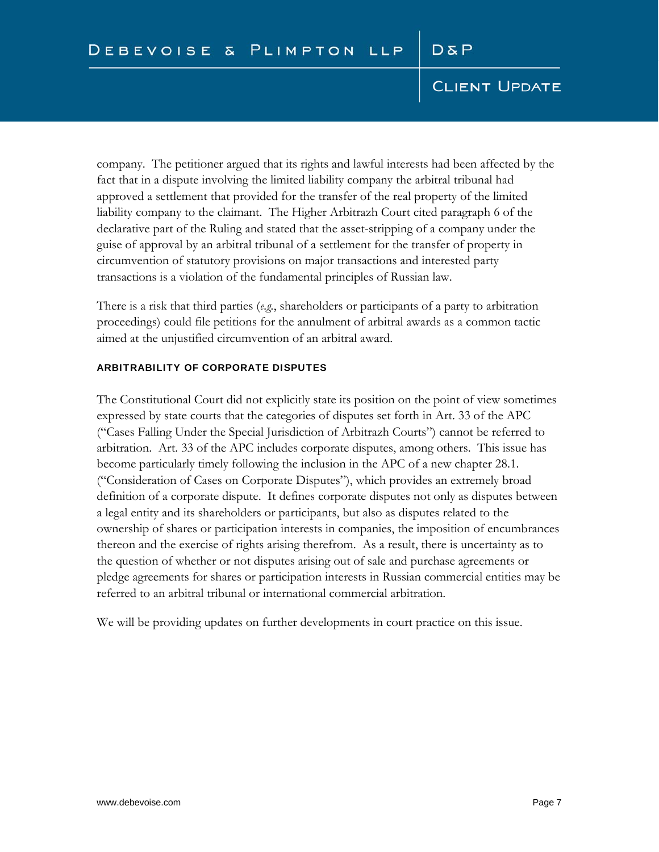company. The petitioner argued that its rights and lawful interests had been affected by the fact that in a dispute involving the limited liability company the arbitral tribunal had approved a settlement that provided for the transfer of the real property of the limited liability company to the claimant. The Higher Arbitrazh Court cited paragraph 6 of the declarative part of the Ruling and stated that the asset-stripping of a company under the guise of approval by an arbitral tribunal of a settlement for the transfer of property in circumvention of statutory provisions on major transactions and interested party transactions is a violation of the fundamental principles of Russian law.

There is a risk that third parties (*e.g.*, shareholders or participants of a party to arbitration proceedings) could file petitions for the annulment of arbitral awards as a common tactic aimed at the unjustified circumvention of an arbitral award.

#### ARBITRABILITY OF CORPORATE DISPUTES

The Constitutional Court did not explicitly state its position on the point of view sometimes expressed by state courts that the categories of disputes set forth in Art. 33 of the APC ("Cases Falling Under the Special Jurisdiction of Arbitrazh Courts") cannot be referred to arbitration. Art. 33 of the APC includes corporate disputes, among others. This issue has become particularly timely following the inclusion in the APC of a new chapter 28.1. ("Consideration of Cases on Corporate Disputes"), which provides an extremely broad definition of a corporate dispute. It defines corporate disputes not only as disputes between a legal entity and its shareholders or participants, but also as disputes related to the ownership of shares or participation interests in companies, the imposition of encumbrances thereon and the exercise of rights arising therefrom. As a result, there is uncertainty as to the question of whether or not disputes arising out of sale and purchase agreements or pledge agreements for shares or participation interests in Russian commercial entities may be referred to an arbitral tribunal or international commercial arbitration.

We will be providing updates on further developments in court practice on this issue.